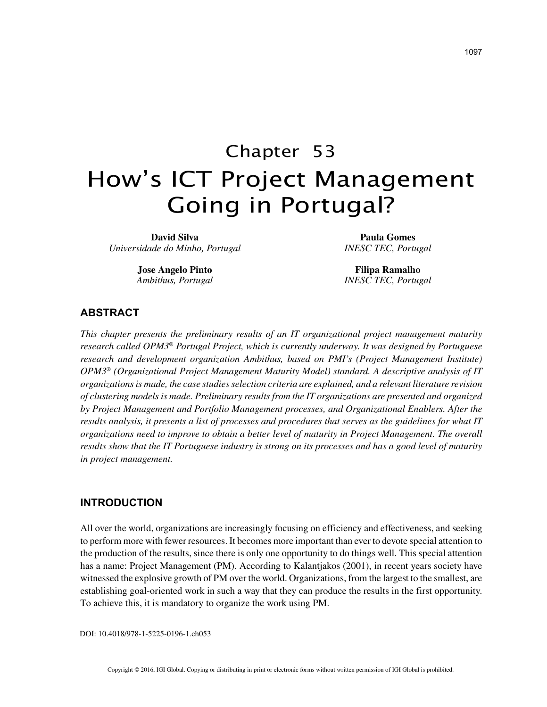# Chapter 53 How's ICT Project Management Going in Portugal?

**David Silva** *Universidade do Minho, Portugal*

> **Jose Angelo Pinto** *Ambithus, Portugal*

**Paula Gomes** *INESC TEC, Portugal*

**Filipa Ramalho** *INESC TEC, Portugal*

## **ABSTRACT**

*This chapter presents the preliminary results of an IT organizational project management maturity research called OPM3® Portugal Project, which is currently underway. It was designed by Portuguese research and development organization Ambithus, based on PMI's (Project Management Institute) OPM3® (Organizational Project Management Maturity Model) standard. A descriptive analysis of IT organizations is made, the case studies selection criteria are explained, and a relevant literature revision of clustering models is made. Preliminary results from the IT organizations are presented and organized by Project Management and Portfolio Management processes, and Organizational Enablers. After the results analysis, it presents a list of processes and procedures that serves as the guidelines for what IT organizations need to improve to obtain a better level of maturity in Project Management. The overall results show that the IT Portuguese industry is strong on its processes and has a good level of maturity in project management.*

## **INTRODUCTION**

All over the world, organizations are increasingly focusing on efficiency and effectiveness, and seeking to perform more with fewer resources. It becomes more important than ever to devote special attention to the production of the results, since there is only one opportunity to do things well. This special attention has a name: Project Management (PM). According to Kalantjakos (2001), in recent years society have witnessed the explosive growth of PM over the world. Organizations, from the largest to the smallest, are establishing goal-oriented work in such a way that they can produce the results in the first opportunity. To achieve this, it is mandatory to organize the work using PM.

DOI: 10.4018/978-1-5225-0196-1.ch053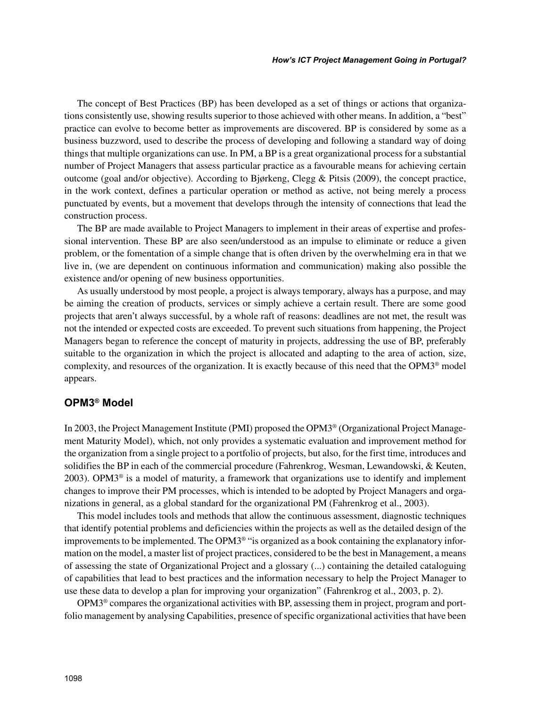The concept of Best Practices (BP) has been developed as a set of things or actions that organizations consistently use, showing results superior to those achieved with other means. In addition, a "best" practice can evolve to become better as improvements are discovered. BP is considered by some as a business buzzword, used to describe the process of developing and following a standard way of doing things that multiple organizations can use. In PM, a BP is a great organizational process for a substantial number of Project Managers that assess particular practice as a favourable means for achieving certain outcome (goal and/or objective). According to Bjørkeng, Clegg & Pitsis (2009), the concept practice, in the work context, defines a particular operation or method as active, not being merely a process punctuated by events, but a movement that develops through the intensity of connections that lead the construction process.

The BP are made available to Project Managers to implement in their areas of expertise and professional intervention. These BP are also seen/understood as an impulse to eliminate or reduce a given problem, or the fomentation of a simple change that is often driven by the overwhelming era in that we live in, (we are dependent on continuous information and communication) making also possible the existence and/or opening of new business opportunities.

As usually understood by most people, a project is always temporary, always has a purpose, and may be aiming the creation of products, services or simply achieve a certain result. There are some good projects that aren't always successful, by a whole raft of reasons: deadlines are not met, the result was not the intended or expected costs are exceeded. To prevent such situations from happening, the Project Managers began to reference the concept of maturity in projects, addressing the use of BP, preferably suitable to the organization in which the project is allocated and adapting to the area of action, size, complexity, and resources of the organization. It is exactly because of this need that the OPM3® model appears.

## **OPM3® Model**

In 2003, the Project Management Institute (PMI) proposed the OPM3® (Organizational Project Management Maturity Model), which, not only provides a systematic evaluation and improvement method for the organization from a single project to a portfolio of projects, but also, for the first time, introduces and solidifies the BP in each of the commercial procedure (Fahrenkrog, Wesman, Lewandowski, & Keuten, 2003). OPM3® is a model of maturity, a framework that organizations use to identify and implement changes to improve their PM processes, which is intended to be adopted by Project Managers and organizations in general, as a global standard for the organizational PM (Fahrenkrog et al., 2003).

This model includes tools and methods that allow the continuous assessment, diagnostic techniques that identify potential problems and deficiencies within the projects as well as the detailed design of the improvements to be implemented. The OPM3<sup>®</sup> "is organized as a book containing the explanatory information on the model, a master list of project practices, considered to be the best in Management, a means of assessing the state of Organizational Project and a glossary (...) containing the detailed cataloguing of capabilities that lead to best practices and the information necessary to help the Project Manager to use these data to develop a plan for improving your organization" (Fahrenkrog et al., 2003, p. 2).

OPM3® compares the organizational activities with BP, assessing them in project, program and portfolio management by analysing Capabilities, presence of specific organizational activities that have been